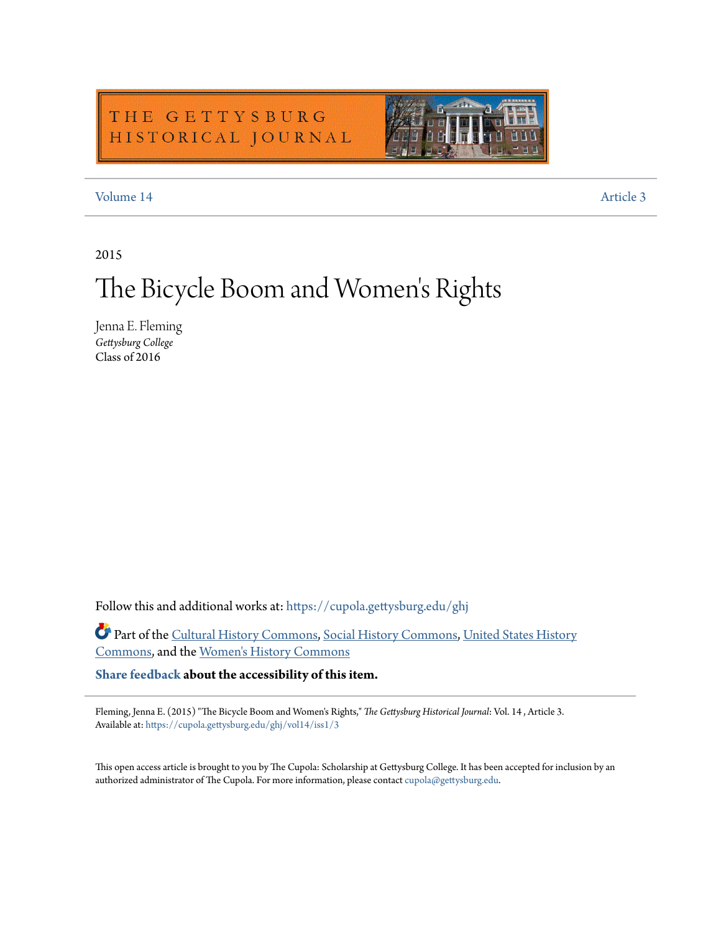# THE GETTYSBURG HISTORICAL JOURNAL



### [Volume 14](https://cupola.gettysburg.edu/ghj/vol14?utm_source=cupola.gettysburg.edu%2Fghj%2Fvol14%2Fiss1%2F3&utm_medium=PDF&utm_campaign=PDFCoverPages) [Article 3](https://cupola.gettysburg.edu/ghj/vol14/iss1/3?utm_source=cupola.gettysburg.edu%2Fghj%2Fvol14%2Fiss1%2F3&utm_medium=PDF&utm_campaign=PDFCoverPages)

2015

# The Bicycle Boom and Women 's Rights

Jenna E. Fleming *Gettysburg College* Class of 2016

Follow this and additional works at: [https://cupola.gettysburg.edu/ghj](https://cupola.gettysburg.edu/ghj?utm_source=cupola.gettysburg.edu%2Fghj%2Fvol14%2Fiss1%2F3&utm_medium=PDF&utm_campaign=PDFCoverPages)

Part of the [Cultural History Commons,](http://network.bepress.com/hgg/discipline/496?utm_source=cupola.gettysburg.edu%2Fghj%2Fvol14%2Fiss1%2F3&utm_medium=PDF&utm_campaign=PDFCoverPages) [Social History Commons,](http://network.bepress.com/hgg/discipline/506?utm_source=cupola.gettysburg.edu%2Fghj%2Fvol14%2Fiss1%2F3&utm_medium=PDF&utm_campaign=PDFCoverPages) [United States History](http://network.bepress.com/hgg/discipline/495?utm_source=cupola.gettysburg.edu%2Fghj%2Fvol14%2Fiss1%2F3&utm_medium=PDF&utm_campaign=PDFCoverPages) [Commons,](http://network.bepress.com/hgg/discipline/495?utm_source=cupola.gettysburg.edu%2Fghj%2Fvol14%2Fiss1%2F3&utm_medium=PDF&utm_campaign=PDFCoverPages) and the [Women's History Commons](http://network.bepress.com/hgg/discipline/507?utm_source=cupola.gettysburg.edu%2Fghj%2Fvol14%2Fiss1%2F3&utm_medium=PDF&utm_campaign=PDFCoverPages)

**[Share feedback](https://docs.google.com/a/bepress.com/forms/d/1h9eEcpBPj5POs5oO6Y5A0blXRmZqykoonyYiZUNyEq8/viewform) about the accessibility of this item.**

Fleming, Jenna E. (2015) "The Bicycle Boom and Women's Rights," *The Gettysburg Historical Journal*: Vol. 14 , Article 3. Available at: [https://cupola.gettysburg.edu/ghj/vol14/iss1/3](https://cupola.gettysburg.edu/ghj/vol14/iss1/3?utm_source=cupola.gettysburg.edu%2Fghj%2Fvol14%2Fiss1%2F3&utm_medium=PDF&utm_campaign=PDFCoverPages)

This open access article is brought to you by The Cupola: Scholarship at Gettysburg College. It has been accepted for inclusion by an authorized administrator of The Cupola. For more information, please contact [cupola@gettysburg.edu.](mailto:cupola@gettysburg.edu)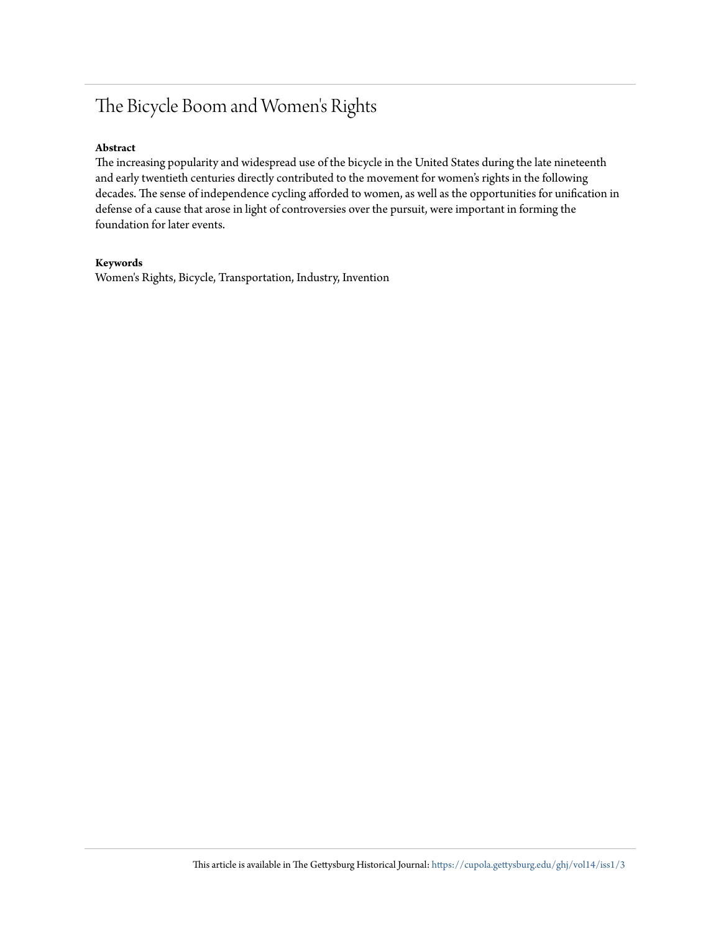# The Bicycle Boom and Women's Rights

#### **Abstract**

The increasing popularity and widespread use of the bicycle in the United States during the late nineteenth and early twentieth centuries directly contributed to the movement for women's rights in the following decades. The sense of independence cycling afforded to women, as well as the opportunities for unification in defense of a cause that arose in light of controversies over the pursuit, were important in forming the foundation for later events.

#### **Keywords**

Women's Rights, Bicycle, Transportation, Industry, Invention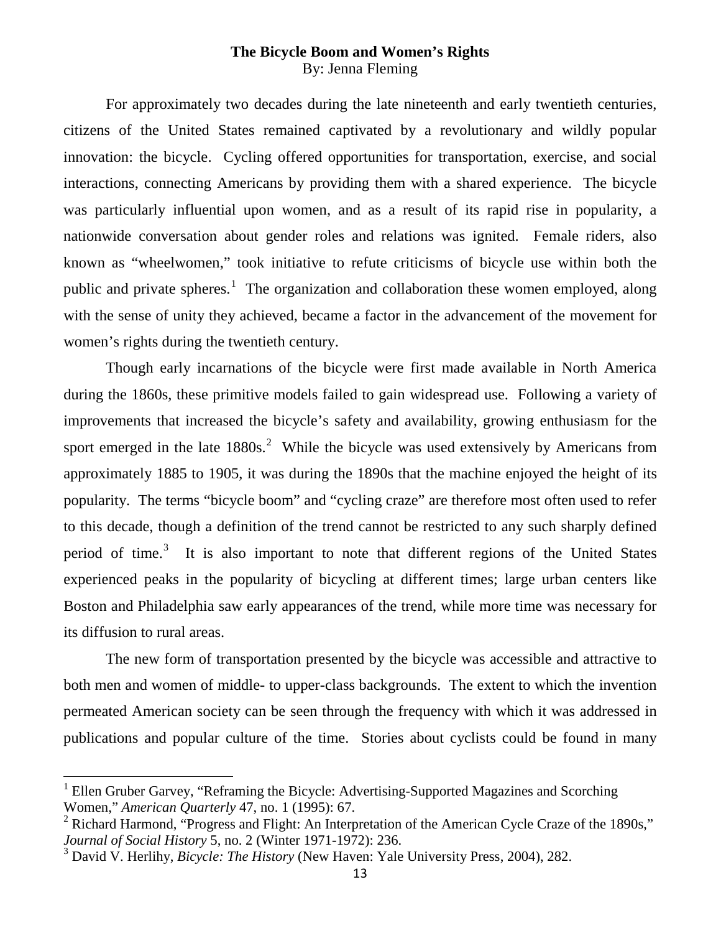# **The Bicycle Boom and Women's Rights** By: Jenna Fleming

For approximately two decades during the late nineteenth and early twentieth centuries, citizens of the United States remained captivated by a revolutionary and wildly popular innovation: the bicycle. Cycling offered opportunities for transportation, exercise, and social interactions, connecting Americans by providing them with a shared experience. The bicycle was particularly influential upon women, and as a result of its rapid rise in popularity, a nationwide conversation about gender roles and relations was ignited. Female riders, also known as "wheelwomen," took initiative to refute criticisms of bicycle use within both the public and private spheres.<sup>[1](#page-2-0)</sup> The organization and collaboration these women employed, along with the sense of unity they achieved, became a factor in the advancement of the movement for women's rights during the twentieth century.

Though early incarnations of the bicycle were first made available in North America during the 1860s, these primitive models failed to gain widespread use. Following a variety of improvements that increased the bicycle's safety and availability, growing enthusiasm for the sport emerged in the late  $1880s$ <sup>[2](#page-2-1)</sup> While the bicycle was used extensively by Americans from approximately 1885 to 1905, it was during the 1890s that the machine enjoyed the height of its popularity. The terms "bicycle boom" and "cycling craze" are therefore most often used to refer to this decade, though a definition of the trend cannot be restricted to any such sharply defined period of time.<sup>[3](#page-2-2)</sup> It is also important to note that different regions of the United States experienced peaks in the popularity of bicycling at different times; large urban centers like Boston and Philadelphia saw early appearances of the trend, while more time was necessary for its diffusion to rural areas.

The new form of transportation presented by the bicycle was accessible and attractive to both men and women of middle- to upper-class backgrounds. The extent to which the invention permeated American society can be seen through the frequency with which it was addressed in publications and popular culture of the time. Stories about cyclists could be found in many

<span id="page-2-0"></span> $1$  Ellen Gruber Garvey, "Reframing the Bicycle: Advertising-Supported Magazines and Scorching Women," *American Quarterly* 47, no. 1 (1995): 67.

<span id="page-2-1"></span> $2$  Richard Harmond, "Progress and Flight: An Interpretation of the American Cycle Craze of the 1890s," *Journal of Social History* 5, no. 2 (Winter 1971-1972): 236.

<span id="page-2-2"></span><sup>3</sup> David V. Herlihy, *Bicycle: The History* (New Haven: Yale University Press, 2004), 282.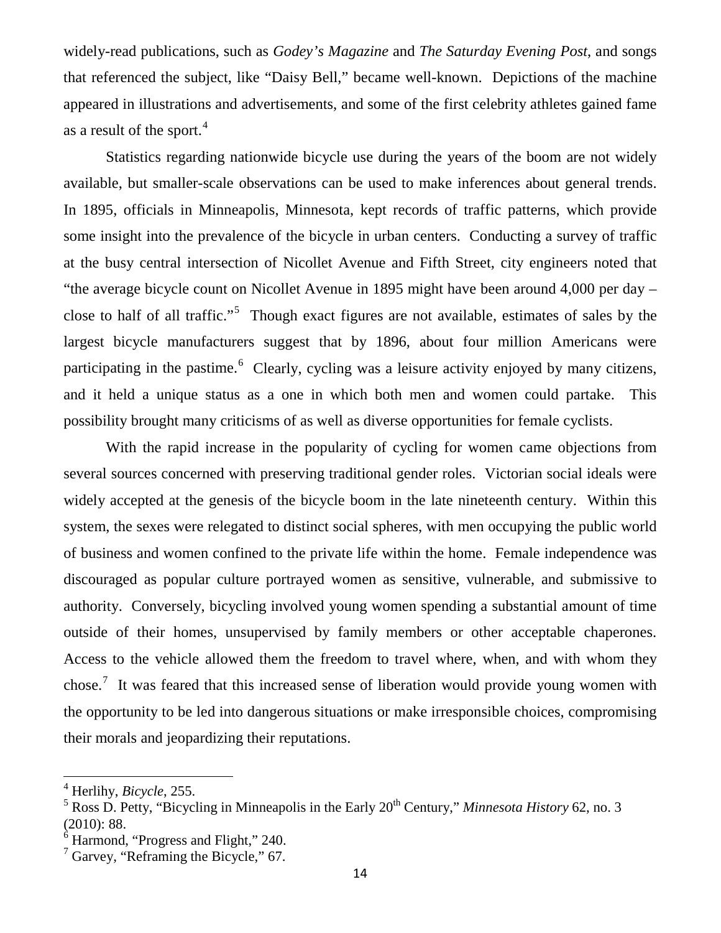widely-read publications, such as *Godey's Magazine* and *The Saturday Evening Post*, and songs that referenced the subject, like "Daisy Bell," became well-known. Depictions of the machine appeared in illustrations and advertisements, and some of the first celebrity athletes gained fame as a result of the sport.<sup>[4](#page-3-0)</sup>

Statistics regarding nationwide bicycle use during the years of the boom are not widely available, but smaller-scale observations can be used to make inferences about general trends. In 1895, officials in Minneapolis, Minnesota, kept records of traffic patterns, which provide some insight into the prevalence of the bicycle in urban centers. Conducting a survey of traffic at the busy central intersection of Nicollet Avenue and Fifth Street, city engineers noted that "the average bicycle count on Nicollet Avenue in 1895 might have been around 4,000 per day – close to half of all traffic."<sup>[5](#page-3-1)</sup> Though exact figures are not available, estimates of sales by the largest bicycle manufacturers suggest that by 1896, about four million Americans were participating in the pastime.<sup>[6](#page-3-2)</sup> Clearly, cycling was a leisure activity enjoyed by many citizens, and it held a unique status as a one in which both men and women could partake. This possibility brought many criticisms of as well as diverse opportunities for female cyclists.

With the rapid increase in the popularity of cycling for women came objections from several sources concerned with preserving traditional gender roles. Victorian social ideals were widely accepted at the genesis of the bicycle boom in the late nineteenth century. Within this system, the sexes were relegated to distinct social spheres, with men occupying the public world of business and women confined to the private life within the home. Female independence was discouraged as popular culture portrayed women as sensitive, vulnerable, and submissive to authority. Conversely, bicycling involved young women spending a substantial amount of time outside of their homes, unsupervised by family members or other acceptable chaperones. Access to the vehicle allowed them the freedom to travel where, when, and with whom they chose.<sup>[7](#page-3-3)</sup> It was feared that this increased sense of liberation would provide young women with the opportunity to be led into dangerous situations or make irresponsible choices, compromising their morals and jeopardizing their reputations.

<span id="page-3-0"></span><sup>4</sup> Herlihy, *Bicycle*, 255.

<span id="page-3-1"></span> $5$  Ross D. Petty, "Bicycling in Minneapolis in the Early  $20^{th}$  Century," *Minnesota History* 62, no. 3 (2010): 88.

 $6$  Harmond, "Progress and Flight," 240.

<span id="page-3-3"></span><span id="page-3-2"></span><sup>7</sup> Garvey, "Reframing the Bicycle," 67.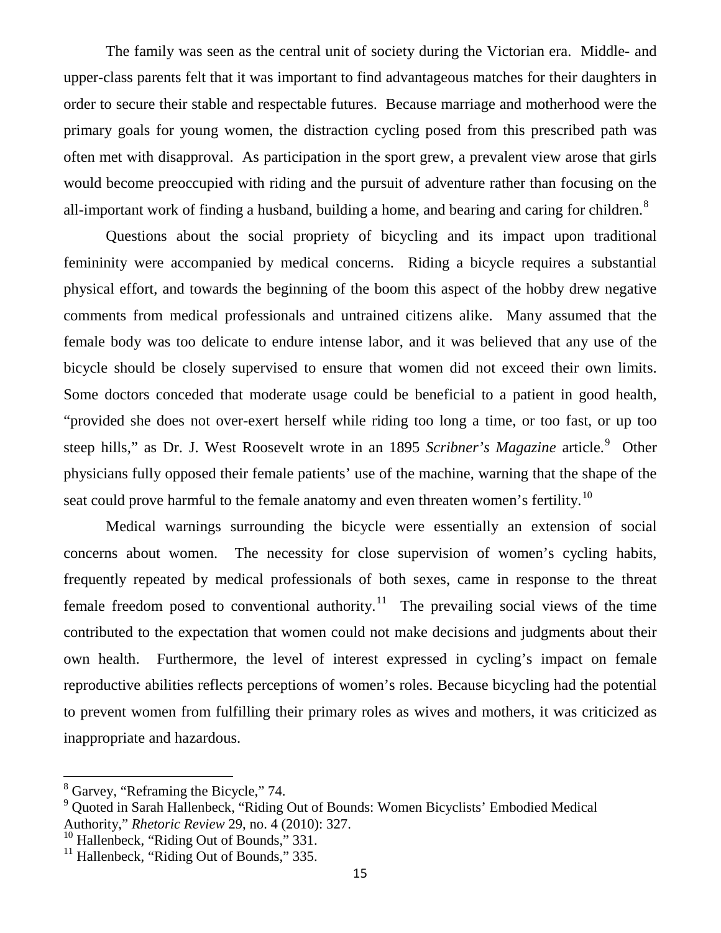The family was seen as the central unit of society during the Victorian era. Middle- and upper-class parents felt that it was important to find advantageous matches for their daughters in order to secure their stable and respectable futures. Because marriage and motherhood were the primary goals for young women, the distraction cycling posed from this prescribed path was often met with disapproval. As participation in the sport grew, a prevalent view arose that girls would become preoccupied with riding and the pursuit of adventure rather than focusing on the all-important work of finding a husband, building a home, and bearing and caring for children. $8$ 

Questions about the social propriety of bicycling and its impact upon traditional femininity were accompanied by medical concerns. Riding a bicycle requires a substantial physical effort, and towards the beginning of the boom this aspect of the hobby drew negative comments from medical professionals and untrained citizens alike. Many assumed that the female body was too delicate to endure intense labor, and it was believed that any use of the bicycle should be closely supervised to ensure that women did not exceed their own limits. Some doctors conceded that moderate usage could be beneficial to a patient in good health, "provided she does not over-exert herself while riding too long a time, or too fast, or up too steep hills," as Dr. J. West Roosevelt wrote in an 18[9](#page-4-1)5 *Scribner's Magazine* article.<sup>9</sup> Other physicians fully opposed their female patients' use of the machine, warning that the shape of the seat could prove harmful to the female anatomy and even threaten women's fertility.<sup>[10](#page-4-2)</sup>

Medical warnings surrounding the bicycle were essentially an extension of social concerns about women. The necessity for close supervision of women's cycling habits, frequently repeated by medical professionals of both sexes, came in response to the threat female freedom posed to conventional authority.<sup>11</sup> The prevailing social views of the time contributed to the expectation that women could not make decisions and judgments about their own health. Furthermore, the level of interest expressed in cycling's impact on female reproductive abilities reflects perceptions of women's roles. Because bicycling had the potential to prevent women from fulfilling their primary roles as wives and mothers, it was criticized as inappropriate and hazardous.

<span id="page-4-0"></span><sup>8</sup> Garvey, "Reframing the Bicycle," 74.

<span id="page-4-1"></span><sup>9</sup> Quoted in Sarah Hallenbeck, "Riding Out of Bounds: Women Bicyclists' Embodied Medical Authority," *Rhetoric Review* 29, no. 4 (2010): 327.

<span id="page-4-2"></span><sup>&</sup>lt;sup>10</sup> Hallenbeck, "Riding Out of Bounds," 331.

<span id="page-4-3"></span><sup>&</sup>lt;sup>11</sup> Hallenbeck, "Riding Out of Bounds," 335.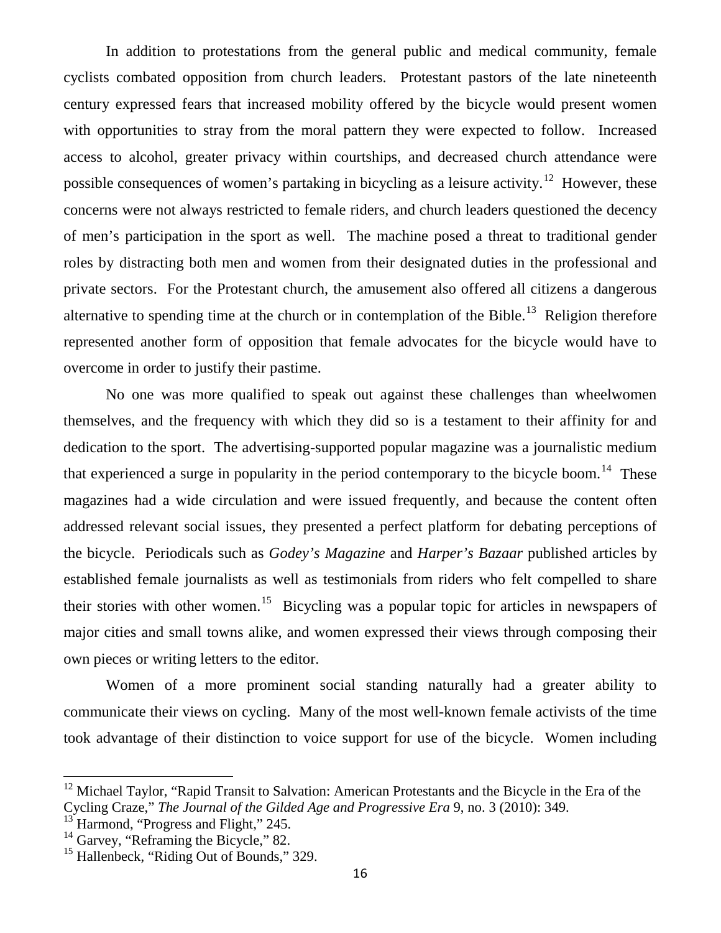In addition to protestations from the general public and medical community, female cyclists combated opposition from church leaders. Protestant pastors of the late nineteenth century expressed fears that increased mobility offered by the bicycle would present women with opportunities to stray from the moral pattern they were expected to follow. Increased access to alcohol, greater privacy within courtships, and decreased church attendance were possible consequences of women's partaking in bicycling as a leisure activity.<sup>12</sup> However, these concerns were not always restricted to female riders, and church leaders questioned the decency of men's participation in the sport as well. The machine posed a threat to traditional gender roles by distracting both men and women from their designated duties in the professional and private sectors. For the Protestant church, the amusement also offered all citizens a dangerous alternative to spending time at the church or in contemplation of the Bible.<sup>13</sup> Religion therefore represented another form of opposition that female advocates for the bicycle would have to overcome in order to justify their pastime.

No one was more qualified to speak out against these challenges than wheelwomen themselves, and the frequency with which they did so is a testament to their affinity for and dedication to the sport. The advertising-supported popular magazine was a journalistic medium that experienced a surge in popularity in the period contemporary to the bicycle boom.<sup>14</sup> These magazines had a wide circulation and were issued frequently, and because the content often addressed relevant social issues, they presented a perfect platform for debating perceptions of the bicycle. Periodicals such as *Godey's Magazine* and *Harper's Bazaar* published articles by established female journalists as well as testimonials from riders who felt compelled to share their stories with other women.<sup>15</sup> Bicycling was a popular topic for articles in newspapers of major cities and small towns alike, and women expressed their views through composing their own pieces or writing letters to the editor.

Women of a more prominent social standing naturally had a greater ability to communicate their views on cycling. Many of the most well-known female activists of the time took advantage of their distinction to voice support for use of the bicycle. Women including

<span id="page-5-0"></span><sup>&</sup>lt;sup>12</sup> Michael Taylor, "Rapid Transit to Salvation: American Protestants and the Bicycle in the Era of the Cycling Craze," *The Journal of the Gilded Age and Progressive Era* 9, no. 3 (2010): 349.

<span id="page-5-1"></span>Harmond, "Progress and Flight," 245.

<span id="page-5-2"></span> $14$  Garvey, "Reframing the Bicycle," 82.

<span id="page-5-3"></span><sup>&</sup>lt;sup>15</sup> Hallenbeck, "Riding Out of Bounds," 329.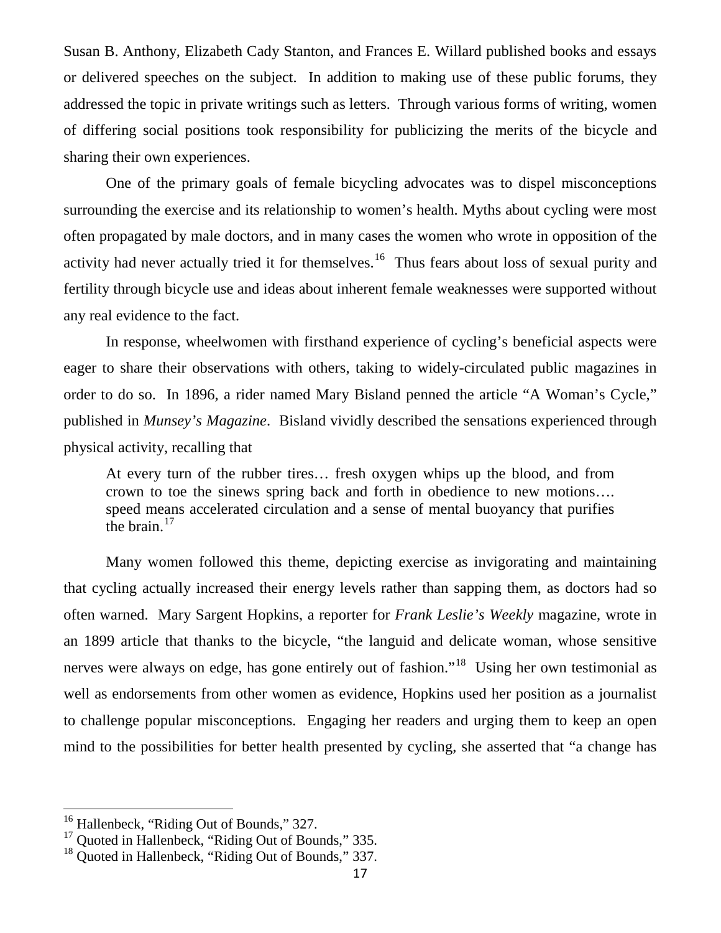Susan B. Anthony, Elizabeth Cady Stanton, and Frances E. Willard published books and essays or delivered speeches on the subject. In addition to making use of these public forums, they addressed the topic in private writings such as letters. Through various forms of writing, women of differing social positions took responsibility for publicizing the merits of the bicycle and sharing their own experiences.

One of the primary goals of female bicycling advocates was to dispel misconceptions surrounding the exercise and its relationship to women's health. Myths about cycling were most often propagated by male doctors, and in many cases the women who wrote in opposition of the activity had never actually tried it for themselves.<sup>[16](#page-6-0)</sup> Thus fears about loss of sexual purity and fertility through bicycle use and ideas about inherent female weaknesses were supported without any real evidence to the fact.

In response, wheelwomen with firsthand experience of cycling's beneficial aspects were eager to share their observations with others, taking to widely-circulated public magazines in order to do so. In 1896, a rider named Mary Bisland penned the article "A Woman's Cycle," published in *Munsey's Magazine*. Bisland vividly described the sensations experienced through physical activity, recalling that

At every turn of the rubber tires… fresh oxygen whips up the blood, and from crown to toe the sinews spring back and forth in obedience to new motions…. speed means accelerated circulation and a sense of mental buoyancy that purifies the brain. $17$ 

Many women followed this theme, depicting exercise as invigorating and maintaining that cycling actually increased their energy levels rather than sapping them, as doctors had so often warned. Mary Sargent Hopkins, a reporter for *Frank Leslie's Weekly* magazine, wrote in an 1899 article that thanks to the bicycle, "the languid and delicate woman, whose sensitive nerves were always on edge, has gone entirely out of fashion."<sup>18</sup> Using her own testimonial as well as endorsements from other women as evidence, Hopkins used her position as a journalist to challenge popular misconceptions. Engaging her readers and urging them to keep an open mind to the possibilities for better health presented by cycling, she asserted that "a change has

<span id="page-6-0"></span><sup>&</sup>lt;sup>16</sup> Hallenbeck, "Riding Out of Bounds," 327.

<span id="page-6-1"></span><sup>&</sup>lt;sup>17</sup> Quoted in Hallenbeck, "Riding Out of Bounds," 335.

<span id="page-6-2"></span><sup>&</sup>lt;sup>18</sup> Quoted in Hallenbeck, "Riding Out of Bounds," 337.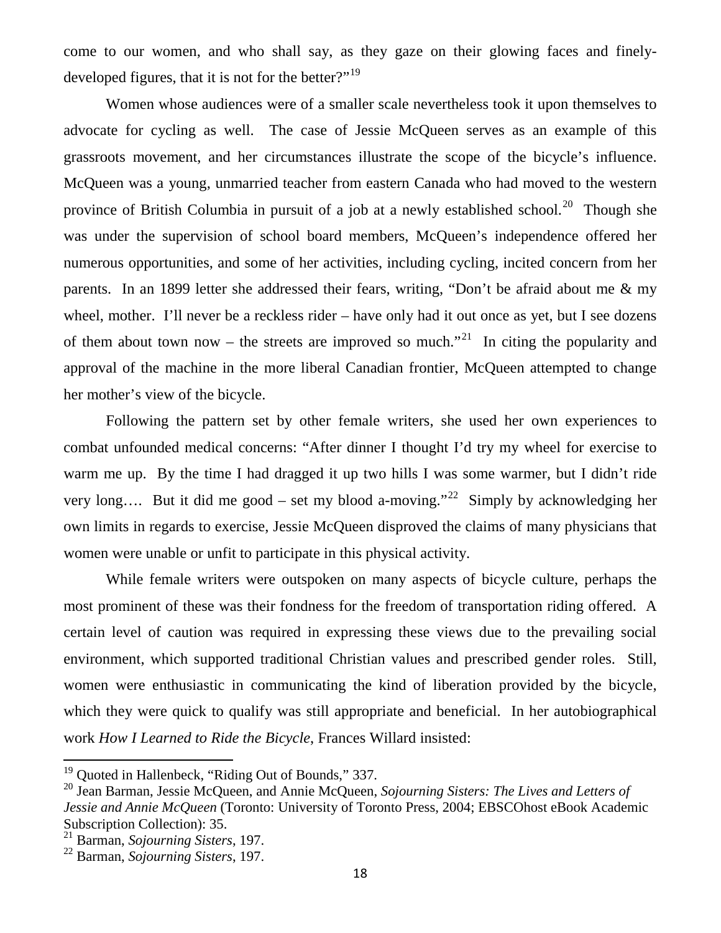come to our women, and who shall say, as they gaze on their glowing faces and finely-developed figures, that it is not for the better?"<sup>[19](#page-7-0)</sup>

Women whose audiences were of a smaller scale nevertheless took it upon themselves to advocate for cycling as well. The case of Jessie McQueen serves as an example of this grassroots movement, and her circumstances illustrate the scope of the bicycle's influence. McQueen was a young, unmarried teacher from eastern Canada who had moved to the western province of British Columbia in pursuit of a job at a newly established school.<sup>20</sup> Though she was under the supervision of school board members, McQueen's independence offered her numerous opportunities, and some of her activities, including cycling, incited concern from her parents. In an 1899 letter she addressed their fears, writing, "Don't be afraid about me & my wheel, mother. I'll never be a reckless rider – have only had it out once as yet, but I see dozens of them about town now – the streets are improved so much.<sup>"21</sup> In citing the popularity and approval of the machine in the more liberal Canadian frontier, McQueen attempted to change her mother's view of the bicycle.

Following the pattern set by other female writers, she used her own experiences to combat unfounded medical concerns: "After dinner I thought I'd try my wheel for exercise to warm me up. By the time I had dragged it up two hills I was some warmer, but I didn't ride very long.... But it did me good – set my blood a-moving."<sup>[22](#page-7-3)</sup> Simply by acknowledging her own limits in regards to exercise, Jessie McQueen disproved the claims of many physicians that women were unable or unfit to participate in this physical activity.

While female writers were outspoken on many aspects of bicycle culture, perhaps the most prominent of these was their fondness for the freedom of transportation riding offered. A certain level of caution was required in expressing these views due to the prevailing social environment, which supported traditional Christian values and prescribed gender roles. Still, women were enthusiastic in communicating the kind of liberation provided by the bicycle, which they were quick to qualify was still appropriate and beneficial. In her autobiographical work *How I Learned to Ride the Bicycle*, Frances Willard insisted:

<span id="page-7-0"></span><sup>&</sup>lt;sup>19</sup> Ouoted in Hallenbeck, "Riding Out of Bounds," 337.

<span id="page-7-1"></span><sup>20</sup> Jean Barman, Jessie McQueen, and Annie McQueen, *Sojourning Sisters: The Lives and Letters of Jessie and Annie McQueen* (Toronto: University of Toronto Press, 2004; EBSCOhost eBook Academic Subscription Collection): 35.

<sup>21</sup> Barman, *Sojourning Sisters*, 197.

<span id="page-7-3"></span><span id="page-7-2"></span><sup>22</sup> Barman, *Sojourning Sisters*, 197.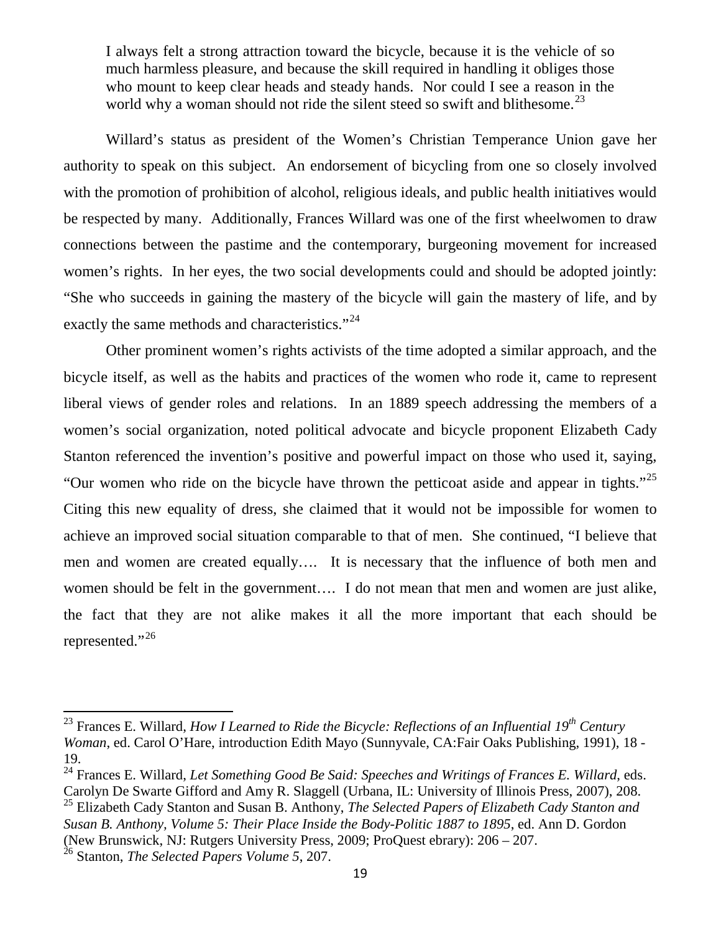I always felt a strong attraction toward the bicycle, because it is the vehicle of so much harmless pleasure, and because the skill required in handling it obliges those who mount to keep clear heads and steady hands. Nor could I see a reason in the world why a woman should not ride the silent steed so swift and blithesome.<sup>[23](#page-8-0)</sup>

Willard's status as president of the Women's Christian Temperance Union gave her authority to speak on this subject. An endorsement of bicycling from one so closely involved with the promotion of prohibition of alcohol, religious ideals, and public health initiatives would be respected by many. Additionally, Frances Willard was one of the first wheelwomen to draw connections between the pastime and the contemporary, burgeoning movement for increased women's rights. In her eyes, the two social developments could and should be adopted jointly: "She who succeeds in gaining the mastery of the bicycle will gain the mastery of life, and by exactly the same methods and characteristics."<sup>[24](#page-8-1)</sup>

Other prominent women's rights activists of the time adopted a similar approach, and the bicycle itself, as well as the habits and practices of the women who rode it, came to represent liberal views of gender roles and relations. In an 1889 speech addressing the members of a women's social organization, noted political advocate and bicycle proponent Elizabeth Cady Stanton referenced the invention's positive and powerful impact on those who used it, saying, "Our women who ride on the bicycle have thrown the petticoat aside and appear in tights."<sup>[25](#page-8-2)</sup> Citing this new equality of dress, she claimed that it would not be impossible for women to achieve an improved social situation comparable to that of men. She continued, "I believe that men and women are created equally…. It is necessary that the influence of both men and women should be felt in the government…. I do not mean that men and women are just alike, the fact that they are not alike makes it all the more important that each should be represented."<sup>[26](#page-8-3)</sup>

<span id="page-8-0"></span><sup>23</sup> Frances E. Willard, *How I Learned to Ride the Bicycle: Reflections of an Influential 19th Century Woman*, ed. Carol O'Hare, introduction Edith Mayo (Sunnyvale, CA:Fair Oaks Publishing, 1991), 18 - 19.

<span id="page-8-1"></span><sup>24</sup> Frances E. Willard, *Let Something Good Be Said: Speeches and Writings of Frances E. Willard*, eds. Carolyn De Swarte Gifford and Amy R. Slaggell (Urbana, IL: University of Illinois Press, 2007), 208.

<span id="page-8-2"></span><sup>25</sup> Elizabeth Cady Stanton and Susan B. Anthony, *The Selected Papers of Elizabeth Cady Stanton and Susan B. Anthony, Volume 5: Their Place Inside the Body-Politic 1887 to 1895*, ed. Ann D. Gordon (New Brunswick, NJ: Rutgers University Press, 2009; ProQuest ebrary): 206 – 207.

<span id="page-8-3"></span><sup>26</sup> Stanton, *The Selected Papers Volume 5*, 207.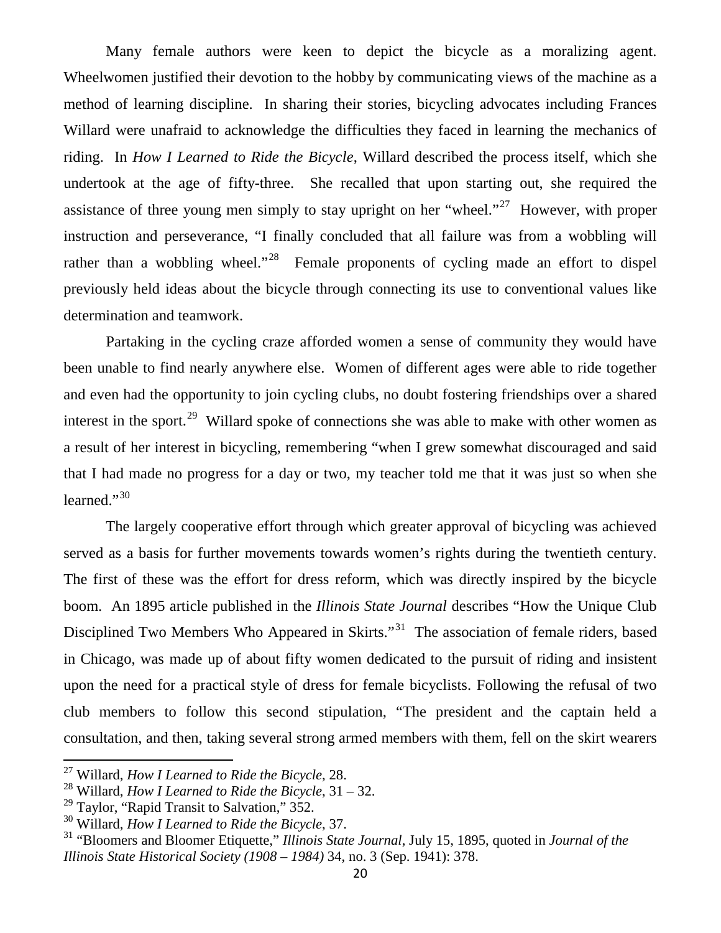Many female authors were keen to depict the bicycle as a moralizing agent. Wheelwomen justified their devotion to the hobby by communicating views of the machine as a method of learning discipline. In sharing their stories, bicycling advocates including Frances Willard were unafraid to acknowledge the difficulties they faced in learning the mechanics of riding. In *How I Learned to Ride the Bicycle*, Willard described the process itself, which she undertook at the age of fifty-three. She recalled that upon starting out, she required the assistance of three young men simply to stay upright on her "wheel."<sup>[27](#page-9-0)</sup> However, with proper instruction and perseverance, "I finally concluded that all failure was from a wobbling will rather than a wobbling wheel."<sup>[28](#page-9-1)</sup> Female proponents of cycling made an effort to dispel previously held ideas about the bicycle through connecting its use to conventional values like determination and teamwork.

Partaking in the cycling craze afforded women a sense of community they would have been unable to find nearly anywhere else. Women of different ages were able to ride together and even had the opportunity to join cycling clubs, no doubt fostering friendships over a shared interest in the sport.<sup>29</sup> Willard spoke of connections she was able to make with other women as a result of her interest in bicycling, remembering "when I grew somewhat discouraged and said that I had made no progress for a day or two, my teacher told me that it was just so when she learned."<sup>[30](#page-9-3)</sup>

The largely cooperative effort through which greater approval of bicycling was achieved served as a basis for further movements towards women's rights during the twentieth century. The first of these was the effort for dress reform, which was directly inspired by the bicycle boom. An 1895 article published in the *Illinois State Journal* describes "How the Unique Club Disciplined Two Members Who Appeared in Skirts."<sup>31</sup> The association of female riders, based in Chicago, was made up of about fifty women dedicated to the pursuit of riding and insistent upon the need for a practical style of dress for female bicyclists. Following the refusal of two club members to follow this second stipulation, "The president and the captain held a consultation, and then, taking several strong armed members with them, fell on the skirt wearers

<span id="page-9-0"></span><sup>27</sup> Willard, *How I Learned to Ride the Bicycle*, 28.

<span id="page-9-1"></span><sup>28</sup> Willard, *How I Learned to Ride the Bicycle*, 31 – 32.

<span id="page-9-2"></span> $29$  Taylor, "Rapid Transit to Salvation," 352.

<span id="page-9-3"></span><sup>30</sup> Willard, *How I Learned to Ride the Bicycle*, 37.

<span id="page-9-4"></span><sup>31</sup> "Bloomers and Bloomer Etiquette," *Illinois State Journal*, July 15, 1895, quoted in *Journal of the Illinois State Historical Society (1908 – 1984)* 34, no. 3 (Sep. 1941): 378.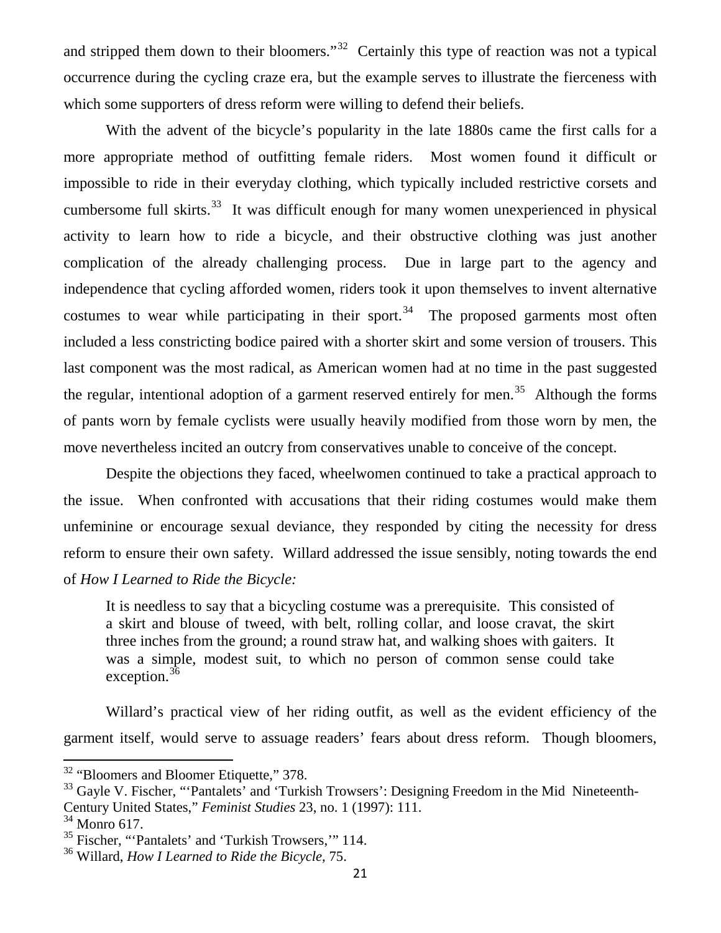and stripped them down to their bloomers."<sup>32</sup> Certainly this type of reaction was not a typical occurrence during the cycling craze era, but the example serves to illustrate the fierceness with which some supporters of dress reform were willing to defend their beliefs.

With the advent of the bicycle's popularity in the late 1880s came the first calls for a more appropriate method of outfitting female riders. Most women found it difficult or impossible to ride in their everyday clothing, which typically included restrictive corsets and cumbersome full skirts.<sup>[33](#page-10-1)</sup> It was difficult enough for many women unexperienced in physical activity to learn how to ride a bicycle, and their obstructive clothing was just another complication of the already challenging process. Due in large part to the agency and independence that cycling afforded women, riders took it upon themselves to invent alternative costumes to wear while participating in their sport.<sup>[34](#page-10-2)</sup> The proposed garments most often included a less constricting bodice paired with a shorter skirt and some version of trousers. This last component was the most radical, as American women had at no time in the past suggested the regular, intentional adoption of a garment reserved entirely for men.<sup>[35](#page-10-3)</sup> Although the forms of pants worn by female cyclists were usually heavily modified from those worn by men, the move nevertheless incited an outcry from conservatives unable to conceive of the concept.

Despite the objections they faced, wheelwomen continued to take a practical approach to the issue. When confronted with accusations that their riding costumes would make them unfeminine or encourage sexual deviance, they responded by citing the necessity for dress reform to ensure their own safety. Willard addressed the issue sensibly, noting towards the end of *How I Learned to Ride the Bicycle:*

It is needless to say that a bicycling costume was a prerequisite. This consisted of a skirt and blouse of tweed, with belt, rolling collar, and loose cravat, the skirt three inches from the ground; a round straw hat, and walking shoes with gaiters. It was a simple, modest suit, to which no person of common sense could take exception. $36$ 

Willard's practical view of her riding outfit, as well as the evident efficiency of the garment itself, would serve to assuage readers' fears about dress reform. Though bloomers,

<span id="page-10-0"></span><sup>&</sup>lt;sup>32</sup> "Bloomers and Bloomer Etiquette," 378.

<span id="page-10-1"></span><sup>&</sup>lt;sup>33</sup> Gayle V. Fischer, "'Pantalets' and 'Turkish Trowsers': Designing Freedom in the Mid Nineteenth-

Century United States," *Feminist Studies* 23, no. 1 (1997): 111.

<span id="page-10-2"></span> $34$  Monro 617.

<span id="page-10-3"></span><sup>35</sup> Fischer, "'Pantalets' and 'Turkish Trowsers,'" 114.

<span id="page-10-4"></span><sup>36</sup> Willard, *How I Learned to Ride the Bicycle*, 75.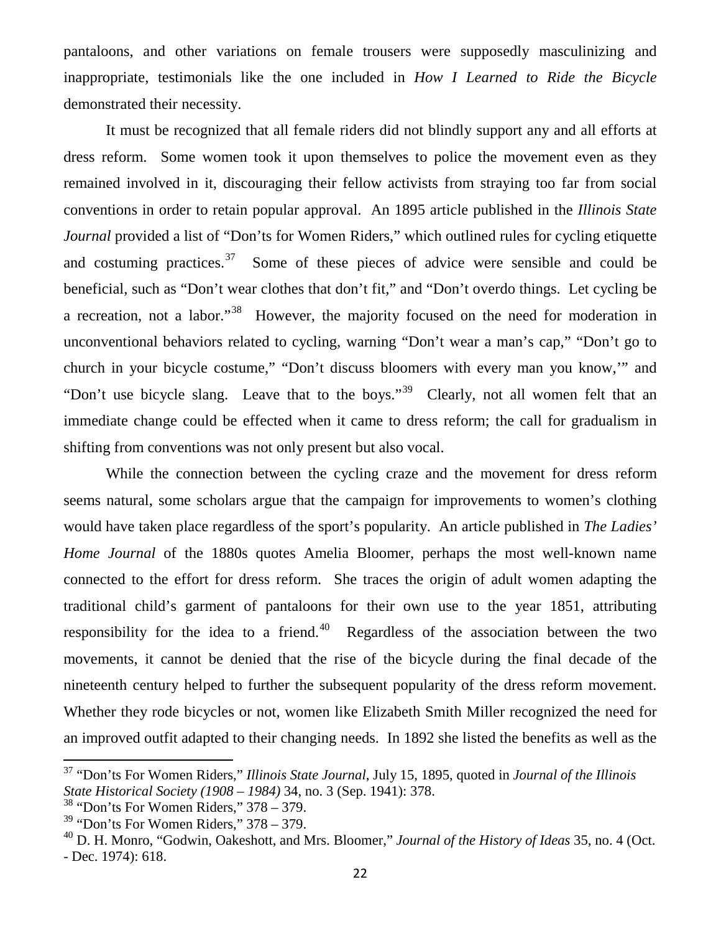pantaloons, and other variations on female trousers were supposedly masculinizing and inappropriate, testimonials like the one included in *How I Learned to Ride the Bicycle* demonstrated their necessity.

It must be recognized that all female riders did not blindly support any and all efforts at dress reform. Some women took it upon themselves to police the movement even as they remained involved in it, discouraging their fellow activists from straying too far from social conventions in order to retain popular approval. An 1895 article published in the *Illinois State Journal* provided a list of "Don'ts for Women Riders," which outlined rules for cycling etiquette and costuming practices.<sup>[37](#page-11-0)</sup> Some of these pieces of advice were sensible and could be beneficial, such as "Don't wear clothes that don't fit," and "Don't overdo things. Let cycling be a recreation, not a labor."[38](#page-11-1) However, the majority focused on the need for moderation in unconventional behaviors related to cycling, warning "Don't wear a man's cap," "Don't go to church in your bicycle costume," "Don't discuss bloomers with every man you know,'" and "Don't use bicycle slang. Leave that to the boys."<sup>39</sup> Clearly, not all women felt that an immediate change could be effected when it came to dress reform; the call for gradualism in shifting from conventions was not only present but also vocal.

While the connection between the cycling craze and the movement for dress reform seems natural, some scholars argue that the campaign for improvements to women's clothing would have taken place regardless of the sport's popularity. An article published in *The Ladies' Home Journal* of the 1880s quotes Amelia Bloomer, perhaps the most well-known name connected to the effort for dress reform. She traces the origin of adult women adapting the traditional child's garment of pantaloons for their own use to the year 1851, attributing responsibility for the idea to a friend.<sup>[40](#page-11-3)</sup> Regardless of the association between the two movements, it cannot be denied that the rise of the bicycle during the final decade of the nineteenth century helped to further the subsequent popularity of the dress reform movement. Whether they rode bicycles or not, women like Elizabeth Smith Miller recognized the need for an improved outfit adapted to their changing needs. In 1892 she listed the benefits as well as the

<span id="page-11-0"></span><sup>37</sup> "Don'ts For Women Riders," *Illinois State Journal*, July 15, 1895, quoted in *Journal of the Illinois State Historical Society (1908 – 1984)* 34, no. 3 (Sep. 1941): 378.

<span id="page-11-1"></span> $38$  "Don'ts For Women Riders," 378 – 379.

<span id="page-11-2"></span> $39$  "Don'ts For Women Riders,"  $378 - 379$ .

<span id="page-11-3"></span><sup>40</sup> D. H. Monro, "Godwin, Oakeshott, and Mrs. Bloomer," *Journal of the History of Ideas* 35, no. 4 (Oct. - Dec. 1974): 618.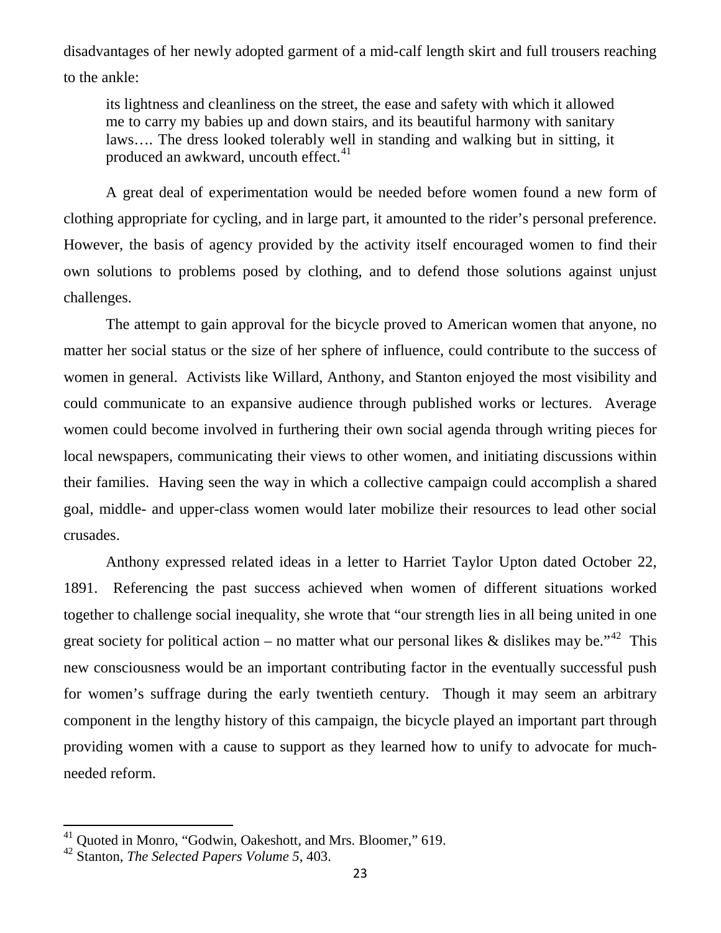disadvantages of her newly adopted garment of a mid-calf length skirt and full trousers reaching to the ankle:

its lightness and cleanliness on the street, the ease and safety with which it allowed me to carry my babies up and down stairs, and its beautiful harmony with sanitary laws…. The dress looked tolerably well in standing and walking but in sitting, it produced an awkward, uncouth effect.<sup>[41](#page-12-0)</sup>

A great deal of experimentation would be needed before women found a new form of clothing appropriate for cycling, and in large part, it amounted to the rider's personal preference. However, the basis of agency provided by the activity itself encouraged women to find their own solutions to problems posed by clothing, and to defend those solutions against unjust challenges.

The attempt to gain approval for the bicycle proved to American women that anyone, no matter her social status or the size of her sphere of influence, could contribute to the success of women in general. Activists like Willard, Anthony, and Stanton enjoyed the most visibility and could communicate to an expansive audience through published works or lectures. Average women could become involved in furthering their own social agenda through writing pieces for local newspapers, communicating their views to other women, and initiating discussions within their families. Having seen the way in which a collective campaign could accomplish a shared goal, middle- and upper-class women would later mobilize their resources to lead other social crusades.

Anthony expressed related ideas in a letter to Harriet Taylor Upton dated October 22, 1891. Referencing the past success achieved when women of different situations worked together to challenge social inequality, she wrote that "our strength lies in all being united in one great society for political action – no matter what our personal likes  $\&$  dislikes may be."<sup>42</sup> This new consciousness would be an important contributing factor in the eventually successful push for women's suffrage during the early twentieth century. Though it may seem an arbitrary component in the lengthy history of this campaign, the bicycle played an important part through providing women with a cause to support as they learned how to unify to advocate for muchneeded reform.

<span id="page-12-0"></span><sup>41</sup> Quoted in Monro, "Godwin, Oakeshott, and Mrs. Bloomer," 619.

<span id="page-12-1"></span><sup>42</sup> Stanton, *The Selected Papers Volume 5*, 403.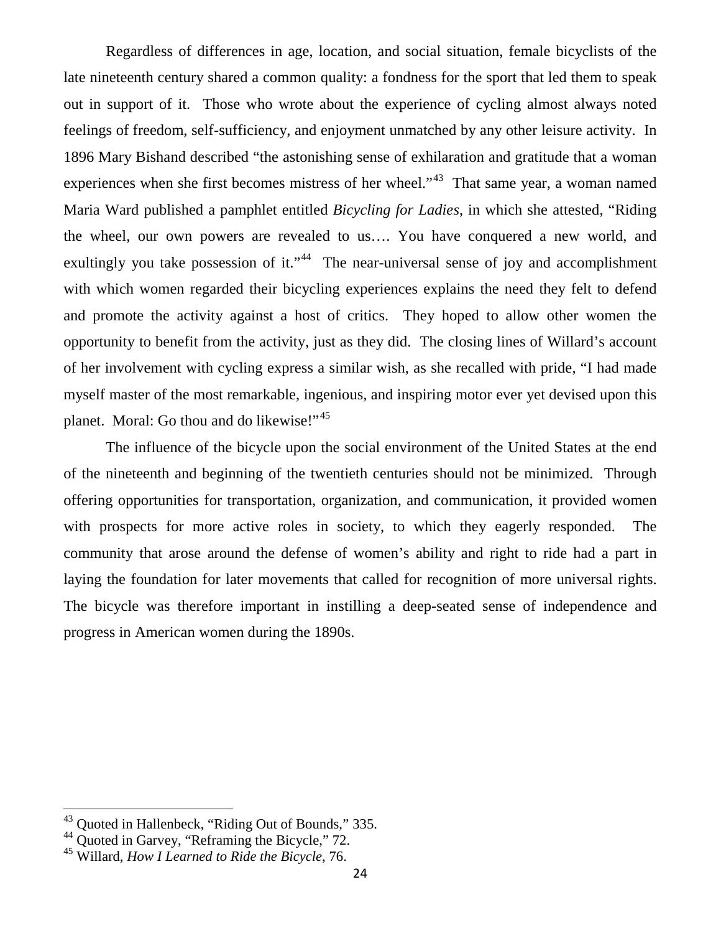Regardless of differences in age, location, and social situation, female bicyclists of the late nineteenth century shared a common quality: a fondness for the sport that led them to speak out in support of it. Those who wrote about the experience of cycling almost always noted feelings of freedom, self-sufficiency, and enjoyment unmatched by any other leisure activity. In 1896 Mary Bishand described "the astonishing sense of exhilaration and gratitude that a woman experiences when she first becomes mistress of her wheel."<sup>43</sup> That same year, a woman named Maria Ward published a pamphlet entitled *Bicycling for Ladies*, in which she attested, "Riding the wheel, our own powers are revealed to us…. You have conquered a new world, and exultingly you take possession of it."<sup>[44](#page-13-1)</sup> The near-universal sense of joy and accomplishment with which women regarded their bicycling experiences explains the need they felt to defend and promote the activity against a host of critics. They hoped to allow other women the opportunity to benefit from the activity, just as they did. The closing lines of Willard's account of her involvement with cycling express a similar wish, as she recalled with pride, "I had made myself master of the most remarkable, ingenious, and inspiring motor ever yet devised upon this planet. Moral: Go thou and do likewise!"<sup>[45](#page-13-2)</sup>

The influence of the bicycle upon the social environment of the United States at the end of the nineteenth and beginning of the twentieth centuries should not be minimized. Through offering opportunities for transportation, organization, and communication, it provided women with prospects for more active roles in society, to which they eagerly responded. The community that arose around the defense of women's ability and right to ride had a part in laying the foundation for later movements that called for recognition of more universal rights. The bicycle was therefore important in instilling a deep-seated sense of independence and progress in American women during the 1890s.

<span id="page-13-0"></span><sup>43</sup> Quoted in Hallenbeck, "Riding Out of Bounds," 335.

<span id="page-13-1"></span><sup>&</sup>lt;sup>44</sup> Quoted in Garvey, "Reframing the Bicycle," 72.

<span id="page-13-2"></span><sup>45</sup> Willard, *How I Learned to Ride the Bicycle*, 76.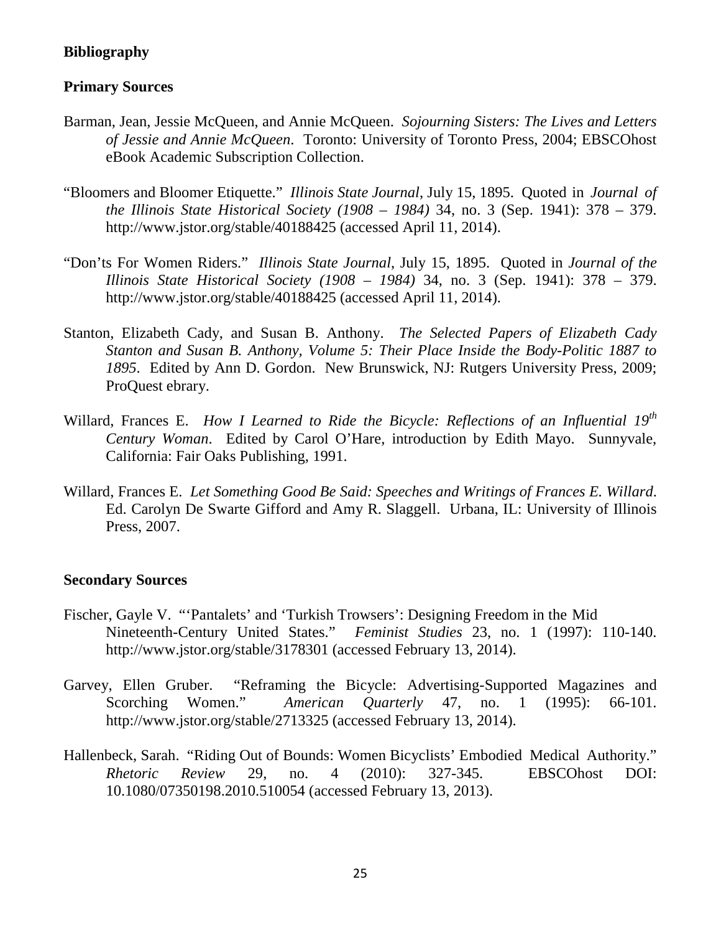# **Bibliography**

# **Primary Sources**

- Barman, Jean, Jessie McQueen, and Annie McQueen. *Sojourning Sisters: The Lives and Letters of Jessie and Annie McQueen*. Toronto: University of Toronto Press, 2004; EBSCOhost eBook Academic Subscription Collection.
- "Bloomers and Bloomer Etiquette." *Illinois State Journal*, July 15, 1895. Quoted in *Journal of the Illinois State Historical Society (1908 – 1984)* 34, no. 3 (Sep. 1941): 378 – 379. http://www.jstor.org/stable/40188425 (accessed April 11, 2014).
- "Don'ts For Women Riders." *Illinois State Journal*, July 15, 1895. Quoted in *Journal of the Illinois State Historical Society (1908 – 1984)* 34, no. 3 (Sep. 1941): 378 – 379. http://www.jstor.org/stable/40188425 (accessed April 11, 2014).
- Stanton, Elizabeth Cady, and Susan B. Anthony. *The Selected Papers of Elizabeth Cady Stanton and Susan B. Anthony, Volume 5: Their Place Inside the Body-Politic 1887 to 1895*. Edited by Ann D. Gordon. New Brunswick, NJ: Rutgers University Press, 2009; ProQuest ebrary.
- Willard, Frances E. *How I Learned to Ride the Bicycle: Reflections of an Influential 19th Century Woman*. Edited by Carol O'Hare, introduction by Edith Mayo. Sunnyvale, California: Fair Oaks Publishing, 1991.
- Willard, Frances E. *Let Something Good Be Said: Speeches and Writings of Frances E. Willard*. Ed. Carolyn De Swarte Gifford and Amy R. Slaggell. Urbana, IL: University of Illinois Press, 2007.

# **Secondary Sources**

- Fischer, Gayle V. "'Pantalets' and 'Turkish Trowsers': Designing Freedom in the Mid Nineteenth-Century United States." *Feminist Studies* 23, no. 1 (1997): 110-140. http://www.jstor.org/stable/3178301 (accessed February 13, 2014).
- Garvey, Ellen Gruber. "Reframing the Bicycle: Advertising-Supported Magazines and Scorching Women." *American Quarterly* 47, no. 1 (1995): 66-101. http://www.jstor.org/stable/2713325 (accessed February 13, 2014).
- Hallenbeck, Sarah. "Riding Out of Bounds: Women Bicyclists' Embodied Medical Authority." *Rhetoric Review* 29, no. 4 (2010): 327-345. EBSCOhost DOI: 10.1080/07350198.2010.510054 (accessed February 13, 2013).